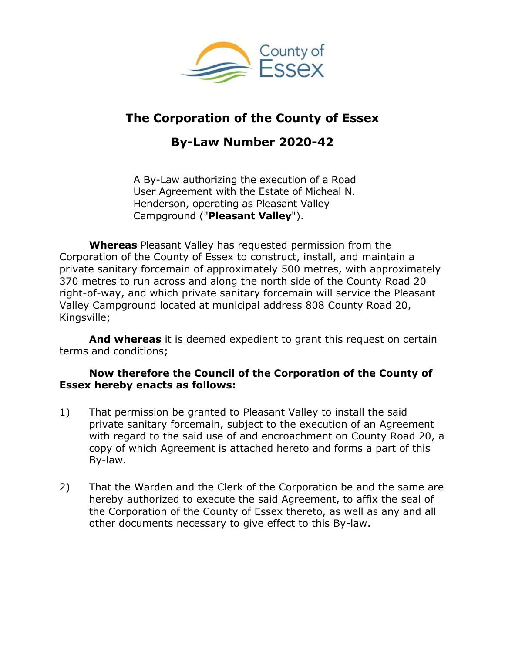

## **The Corporation of the County of Essex**

# **By-Law Number 2020-42**

A By-Law authorizing the execution of a Road User Agreement with the Estate of Micheal N. Henderson, operating as Pleasant Valley Campground ("**Pleasant Valley**").

**Whereas** Pleasant Valley has requested permission from the Corporation of the County of Essex to construct, install, and maintain a private sanitary forcemain of approximately 500 metres, with approximately 370 metres to run across and along the north side of the County Road 20 right-of-way, and which private sanitary forcemain will service the Pleasant Valley Campground located at municipal address 808 County Road 20, Kingsville;

**And whereas** it is deemed expedient to grant this request on certain terms and conditions;

#### **Now therefore the Council of the Corporation of the County of Essex hereby enacts as follows:**

- 1) That permission be granted to Pleasant Valley to install the said private sanitary forcemain, subject to the execution of an Agreement with regard to the said use of and encroachment on County Road 20, a copy of which Agreement is attached hereto and forms a part of this By-law.
- 2) That the Warden and the Clerk of the Corporation be and the same are hereby authorized to execute the said Agreement, to affix the seal of the Corporation of the County of Essex thereto, as well as any and all other documents necessary to give effect to this By-law.